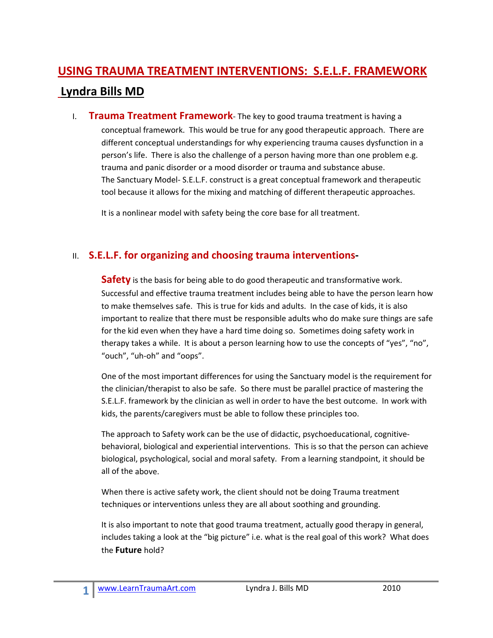## **USING TRAUMA TREATMENT INTERVENTIONS: S.E.L.F. FRAMEWORK Lyndra Bills MD**

I. **Trauma Treatment Framework**‐ The key to good trauma treatment is having a conceptual framework. This would be true for any good therapeutic approach. There are different conceptual understandings for why experiencing trauma causes dysfunction in a person's life. There is also the challenge of a person having more than one problem e.g. trauma and panic disorder or a mood disorder or trauma and substance abuse. The Sanctuary Model‐ S.E.L.F. construct is a great conceptual framework and therapeutic tool because it allows for the mixing and matching of different therapeutic approaches.

It is a nonlinear model with safety being the core base for all treatment.

## II. **S.E.L.F. for organizing and choosing trauma interventions‐**

**Safety** is the basis for being able to do good therapeutic and transformative work. Successful and effective trauma treatment includes being able to have the person learn how to make themselves safe. This is true for kids and adults. In the case of kids, it is also important to realize that there must be responsible adults who do make sure things are safe for the kid even when they have a hard time doing so. Sometimes doing safety work in therapy takes a while. It is about a person learning how to use the concepts of "yes", "no", "ouch", "uh‐oh" and "oops".

One of the most important differences for using the Sanctuary model is the requirement for the clinician/therapist to also be safe. So there must be parallel practice of mastering the S.E.L.F. framework by the clinician as well in order to have the best outcome. In work with kids, the parents/caregivers must be able to follow these principles too.

The approach to Safety work can be the use of didactic, psychoeducational, cognitive‐ behavioral, biological and experiential interventions. This is so that the person can achieve biological, psychological, social and moral safety. From a learning standpoint, it should be all of the above.

When there is active safety work, the client should not be doing Trauma treatment techniques or interventions unless they are all about soothing and grounding.

It is also important to note that good trauma treatment, actually good therapy in general, includes taking a look at the "big picture" i.e. what is the real goal of this work? What does the **Future** hold?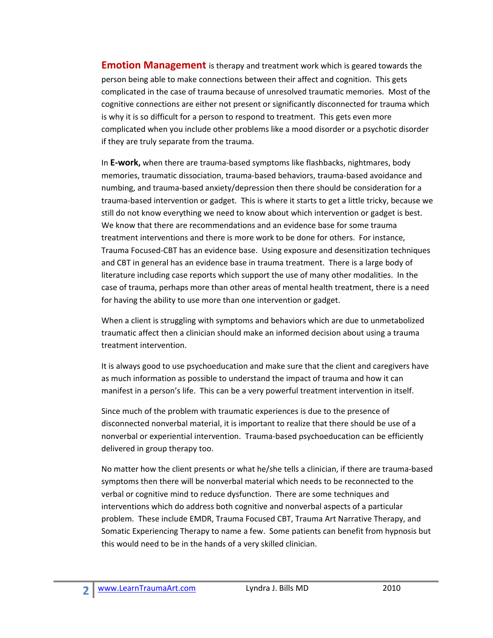**Emotion Management** is therapy and treatment work which is geared towards the person being able to make connections between their affect and cognition. This gets complicated in the case of trauma because of unresolved traumatic memories. Most of the cognitive connections are either not present or significantly disconnected for trauma which is why it is so difficult for a person to respond to treatment. This gets even more complicated when you include other problems like a mood disorder or a psychotic disorder if they are truly separate from the trauma.

In **E‐work,** when there are trauma‐based symptoms like flashbacks, nightmares, body memories, traumatic dissociation, trauma‐based behaviors, trauma‐based avoidance and numbing, and trauma‐based anxiety/depression then there should be consideration for a trauma‐based intervention or gadget. This is where it starts to get a little tricky, because we still do not know everything we need to know about which intervention or gadget is best. We know that there are recommendations and an evidence base for some trauma treatment interventions and there is more work to be done for others. For instance, Trauma Focused‐CBT has an evidence base. Using exposure and desensitization techniques and CBT in general has an evidence base in trauma treatment. There is a large body of literature including case reports which support the use of many other modalities. In the case of trauma, perhaps more than other areas of mental health treatment, there is a need for having the ability to use more than one intervention or gadget.

When a client is struggling with symptoms and behaviors which are due to unmetabolized traumatic affect then a clinician should make an informed decision about using a trauma treatment intervention.

It is always good to use psychoeducation and make sure that the client and caregivers have as much information as possible to understand the impact of trauma and how it can manifest in a person's life. This can be a very powerful treatment intervention in itself.

Since much of the problem with traumatic experiences is due to the presence of disconnected nonverbal material, it is important to realize that there should be use of a nonverbal or experiential intervention. Trauma‐based psychoeducation can be efficiently delivered in group therapy too.

No matter how the client presents or what he/she tells a clinician, if there are trauma‐based symptoms then there will be nonverbal material which needs to be reconnected to the verbal or cognitive mind to reduce dysfunction. There are some techniques and interventions which do address both cognitive and nonverbal aspects of a particular problem. These include EMDR, Trauma Focused CBT, Trauma Art Narrative Therapy, and Somatic Experiencing Therapy to name a few. Some patients can benefit from hypnosis but this would need to be in the hands of a very skilled clinician.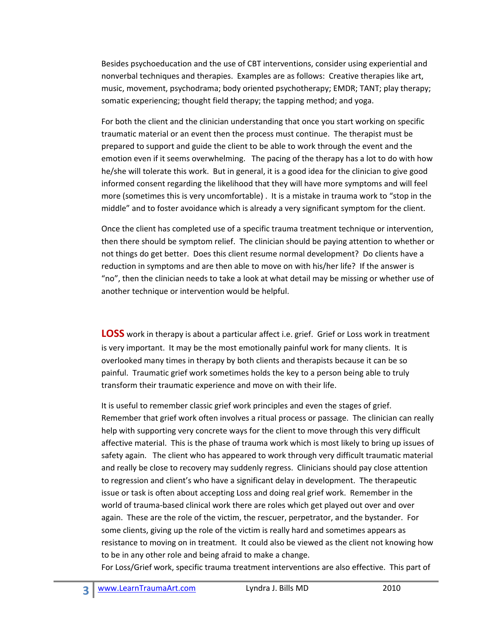Besides psychoeducation and the use of CBT interventions, consider using experiential and nonverbal techniques and therapies. Examples are as follows: Creative therapies like art, music, movement, psychodrama; body oriented psychotherapy; EMDR; TANT; play therapy; somatic experiencing; thought field therapy; the tapping method; and yoga.

For both the client and the clinician understanding that once you start working on specific traumatic material or an event then the process must continue. The therapist must be prepared to support and guide the client to be able to work through the event and the emotion even if it seems overwhelming. The pacing of the therapy has a lot to do with how he/she will tolerate this work. But in general, it is a good idea for the clinician to give good informed consent regarding the likelihood that they will have more symptoms and will feel more (sometimes this is very uncomfortable) . It is a mistake in trauma work to "stop in the middle" and to foster avoidance which is already a very significant symptom for the client.

Once the client has completed use of a specific trauma treatment technique or intervention, then there should be symptom relief. The clinician should be paying attention to whether or not things do get better. Does this client resume normal development? Do clients have a reduction in symptoms and are then able to move on with his/her life? If the answer is "no", then the clinician needs to take a look at what detail may be missing or whether use of another technique or intervention would be helpful.

**LOSS** work in therapy is about a particular affect i.e. grief. Grief or Loss work in treatment is very important. It may be the most emotionally painful work for many clients. It is overlooked many times in therapy by both clients and therapists because it can be so painful. Traumatic grief work sometimes holds the key to a person being able to truly transform their traumatic experience and move on with their life.

It is useful to remember classic grief work principles and even the stages of grief. Remember that grief work often involves a ritual process or passage. The clinician can really help with supporting very concrete ways for the client to move through this very difficult affective material. This is the phase of trauma work which is most likely to bring up issues of safety again. The client who has appeared to work through very difficult traumatic material and really be close to recovery may suddenly regress. Clinicians should pay close attention to regression and client's who have a significant delay in development. The therapeutic issue or task is often about accepting Loss and doing real grief work. Remember in the world of trauma‐based clinical work there are roles which get played out over and over again. These are the role of the victim, the rescuer, perpetrator, and the bystander. For some clients, giving up the role of the victim is really hard and sometimes appears as resistance to moving on in treatment. It could also be viewed as the client not knowing how to be in any other role and being afraid to make a change.

For Loss/Grief work, specific trauma treatment interventions are also effective. This part of